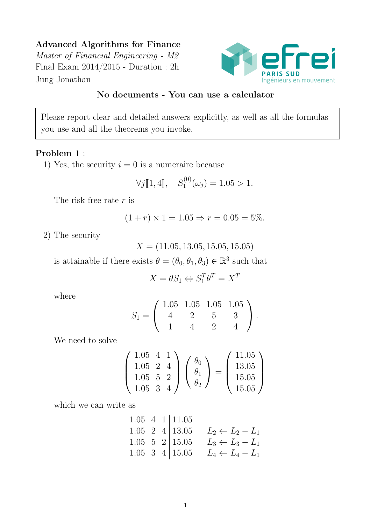# Advanced Algorithms for Finance

Master of Financial Engineering - M2 Final Exam 2014/2015 - Duration : 2h Jung Jonathan



# No documents - You can use a calculator

Please report clear and detailed answers explicitly, as well as all the formulas you use and all the theorems you invoke.

## Problem 1 :

1) Yes, the security  $i = 0$  is a numeraire because

$$
\forall j[\![1,4]\!], \quad S_1^{(0)}(\omega_j) = 1.05 > 1.
$$

The risk-free rate  $r$  is

$$
(1+r) \times 1 = 1.05 \Rightarrow r = 0.05 = 5\%.
$$

2) The security

 $X = (11.05, 13.05, 15.05, 15.05)$ 

is attainable if there exists  $\theta = (\theta_0, \theta_1, \theta_3) \in \mathbb{R}^3$  such that

$$
X=\theta S_1\Leftrightarrow S_1^T\theta^T=X^T
$$

where

$$
S_1 = \left(\begin{array}{rrr} 1.05 & 1.05 & 1.05 & 1.05 \\ 4 & 2 & 5 & 3 \\ 1 & 4 & 2 & 4 \end{array}\right).
$$

We need to solve

$$
\begin{pmatrix} 1.05 & 4 & 1 \ 1.05 & 2 & 4 \ 1.05 & 5 & 2 \ 1.05 & 3 & 4 \end{pmatrix} \begin{pmatrix} \theta_0 \\ \theta_1 \\ \theta_2 \end{pmatrix} = \begin{pmatrix} 11.05 \\ 13.05 \\ 15.05 \\ 15.05 \end{pmatrix}
$$

which we can write as

1.05 4 1 | 11.05  
\n1.05 2 4 | 13.05 
$$
L_2 \leftarrow L_2 - L_1
$$
  
\n1.05 5 2 | 15.05  $L_3 \leftarrow L_3 - L_1$   
\n1.05 3 4 | 15.05  $L_4 \leftarrow L_4 - L_1$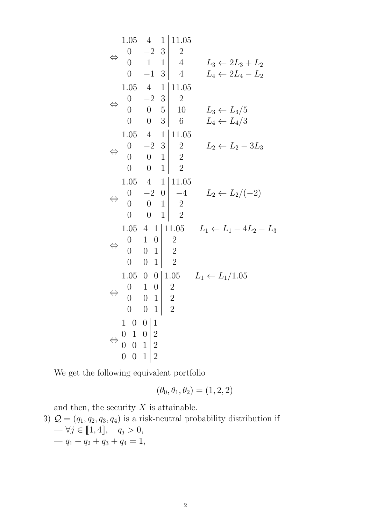⇔ 1.05 4 1 11.05 0 −2 3 2 0 1 1 4 0 −1 3 4 L<sup>3</sup> ← 2L<sup>3</sup> + L<sup>2</sup> L<sup>4</sup> ← 2L<sup>4</sup> − L<sup>2</sup> ⇔ 1.05 4 1 11.05 0 −2 3 2 0 0 5 10 0 0 3 6 L<sup>3</sup> ← L3/5 L<sup>4</sup> ← L4/3 ⇔ 1.05 4 1 11.05 0 −2 3 2 0 0 1 2 0 0 1 2 L<sup>2</sup> ← L<sup>2</sup> − 3L<sup>3</sup> ⇔ 1.05 4 1 11.05 0 −2 0 −4 0 0 1 2 0 0 1 2 L<sup>2</sup> ← L2/(−2) ⇔ 1.05 4 1 11.05 0 1 0 2 0 0 1 2 0 0 1 2 L<sup>1</sup> ← L<sup>1</sup> − 4L<sup>2</sup> − L<sup>3</sup> ⇔ 1.05 0 0 1.05 0 1 0 2 0 0 1 2 0 0 1 2 L<sup>1</sup> ← L1/1.05 ⇔ 1 0 0 1 0 1 0 2 0 0 1 2 0 0 1 2

We get the following equivalent portfolio

$$
(\theta_0, \theta_1, \theta_2) = (1, 2, 2)
$$

and then, the security  $X$  is attainable.

3)  $\mathcal{Q} = (q_1, q_2, q_3, q_4)$  is a risk-neutral probability distribution if  $-\forall j \in [\![1,4]\!], \quad q_j > 0,$  $-q_1 + q_2 + q_3 + q_4 = 1,$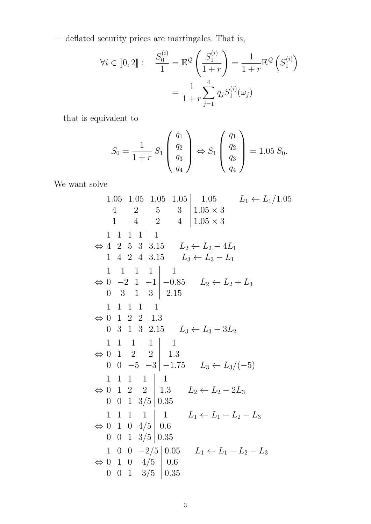— deflated security prices are martingales. That is,

$$
\forall i \in [0, 2]: \quad \frac{S_0^{(i)}}{1} = \mathbb{E}^{\mathcal{Q}} \left( \frac{S_1^{(i)}}{1+r} \right) = \frac{1}{1+r} \mathbb{E}^{\mathcal{Q}} \left( S_1^{(i)} \right) = \frac{1}{1+r} \sum_{j=1}^4 q_j S_1^{(i)}(\omega_j)
$$

that is equivalent to

$$
S_0 = \frac{1}{1+r} S_1 \begin{pmatrix} q_1 \\ q_2 \\ q_3 \\ q_4 \end{pmatrix} \Leftrightarrow S_1 \begin{pmatrix} q_1 \\ q_2 \\ q_3 \\ q_4 \end{pmatrix} = 1.05 S_0.
$$

We want solve

1.05 1.05 1.05 1.05 1.05 1.05 
$$
L_1 \leftarrow L_1/1.05
$$
  
\n4 2 5 3 1.05 × 3  
\n1 1 1 1 1  
\n $\Leftrightarrow$  4 2 5 3 3.15  $L_2 \leftarrow L_2 - 4L_1$   
\n1 4 2 4 3.15  $L_3 \leftarrow L_3 - L_1$   
\n1 1 1 1 1  
\n $\Leftrightarrow$  0 -2 1 -1 -1 -0.85  $L_2 \leftarrow L_2 + L_3$   
\n0 3 1 3 2.15  
\n1 1 1 1 1 1  
\n $\Leftrightarrow$  0 1 2 2 1.3  
\n0 3 1 3 2.15  $L_3 \leftarrow L_3 - 3L_2$   
\n1 1 1 1 1 1  
\n $\Leftrightarrow$  0 1 2 2 1.3  
\n0 0 -5 -3 -1.75  $L_3 \leftarrow L_3/(-5)$   
\n1 1 1 1 1 1  
\n $\Leftrightarrow$  0 1 2 2 1.3  
\n0 0 1 3/5 0.35  
\n1 1 1 1 1  
\n $\Leftrightarrow$  0 1 0 4/5 0.6  
\n0 0 1 3/5 0.35  
\n1 0 0 -2/5 0.05  $L_1 \leftarrow L_1 - L_2 - L_3$   
\n $\Leftrightarrow$  0 1 0 4/5 0.6  
\n0 0 1 3/5 0.35  
\n1 0 0 -2/5 0.05  $L_1 \leftarrow L_1 - L_2 - L_3$   
\n $\Leftrightarrow$  0 1 0 4/5 0.6  
\n0 0 1 3/5 0.35  
\n1 0.35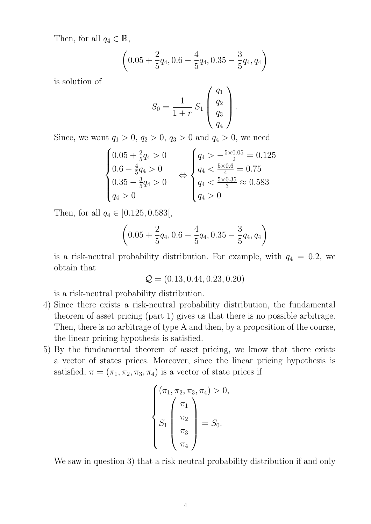Then, for all  $q_4 \in \mathbb{R}$ ,

$$
\left(0.05+\frac{2}{5}q_4,0.6-\frac{4}{5}q_4,0.35-\frac{3}{5}q_4,q_4\right)
$$

is solution of

$$
S_0 = \frac{1}{1+r} S_1 \begin{pmatrix} q_1 \\ q_2 \\ q_3 \\ q_4 \end{pmatrix}.
$$

Since, we want  $q_1 > 0$ ,  $q_2 > 0$ ,  $q_3 > 0$  and  $q_4 > 0$ , we need

$$
\begin{cases}\n0.05 + \frac{2}{5}q_4 > 0 \\
0.6 - \frac{4}{5}q_4 > 0 \\
0.35 - \frac{3}{5}q_4 > 0 \\
q_4 > 0\n\end{cases}\n\Leftrightarrow\n\begin{cases}\nq_4 > -\frac{5 \times 0.05}{2} = 0.125 \\
q_4 < \frac{5 \times 0.6}{4} = 0.75 \\
q_4 < \frac{5 \times 0.35}{3} \approx 0.583 \\
q_4 > 0\n\end{cases}
$$

Then, for all  $q_4 \in$  [0.125, 0.583[,

$$
\left(0.05 + \frac{2}{5}q_4, 0.6 - \frac{4}{5}q_4, 0.35 - \frac{3}{5}q_4, q_4\right)
$$

is a risk-neutral probability distribution. For example, with  $q_4 = 0.2$ , we obtain that

$$
Q = (0.13, 0.44, 0.23, 0.20)
$$

is a risk-neutral probability distribution.

- 4) Since there exists a risk-neutral probability distribution, the fundamental theorem of asset pricing (part 1) gives us that there is no possible arbitrage. Then, there is no arbitrage of type A and then, by a proposition of the course, the linear pricing hypothesis is satisfied.
- 5) By the fundamental theorem of asset pricing, we know that there exists a vector of states prices. Moreover, since the linear pricing hypothesis is satisfied,  $\pi = (\pi_1, \pi_2, \pi_3, \pi_4)$  is a vector of state prices if

$$
\begin{cases}\n(\pi_1, \pi_2, \pi_3, \pi_4) > 0, \\
\int_{S_1} \pi_1 \\
\pi_2 \\
\pi_3 \\
\pi_4\n\end{cases} = S_0.
$$

We saw in question 3) that a risk-neutral probability distribution if and only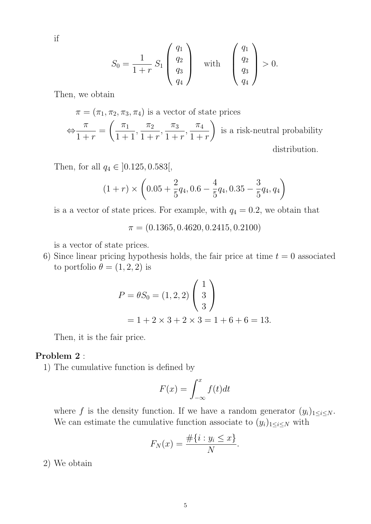if

$$
S_0 = \frac{1}{1+r} S_1 \begin{pmatrix} q_1 \\ q_2 \\ q_3 \\ q_4 \end{pmatrix} \text{ with } \begin{pmatrix} q_1 \\ q_2 \\ q_3 \\ q_4 \end{pmatrix} > 0.
$$

Then, we obtain

 $\pi = (\pi_1, \pi_2, \pi_3, \pi_4)$  is a vector of state prices ⇔  $\pi$  $1 + r$ =  $\left( \pi_1 \right)$  $1 + 1$ ,  $\pi_2$  $1 + r$ ,  $\pi_3$  $1 + r$ ,  $\pi_4$  $1 + r$  $\setminus$ is a risk-neutral probability distribution.

Then, for all  $q_4 \in [0.125, 0.583]$ ,

$$
(1+r) \times \left(0.05 + \frac{2}{5}q_4, 0.6 - \frac{4}{5}q_4, 0.35 - \frac{3}{5}q_4, q_4\right)
$$

is a a vector of state prices. For example, with  $q_4 = 0.2$ , we obtain that

 $\pi = (0.1365, 0.4620, 0.2415, 0.2100)$ 

is a vector of state prices.

6) Since linear pricing hypothesis holds, the fair price at time  $t = 0$  associated to portfolio  $\theta = (1, 2, 2)$  is

$$
P = \theta S_0 = (1, 2, 2) \begin{pmatrix} 1 \\ 3 \\ 3 \end{pmatrix}
$$
  
= 1 + 2 × 3 + 2 × 3 = 1 + 6 + 6 = 13.

Then, it is the fair price.

#### Problem 2 :

1) The cumulative function is defined by

$$
F(x) = \int_{-\infty}^{x} f(t)dt
$$

where f is the density function. If we have a random generator  $(y_i)_{1 \leq i \leq N}$ . We can estimate the cumulative function associate to  $(y_i)_{1 \leq i \leq N}$  with

$$
F_N(x) = \frac{\#\{i : y_i \le x\}}{N}.
$$

2) We obtain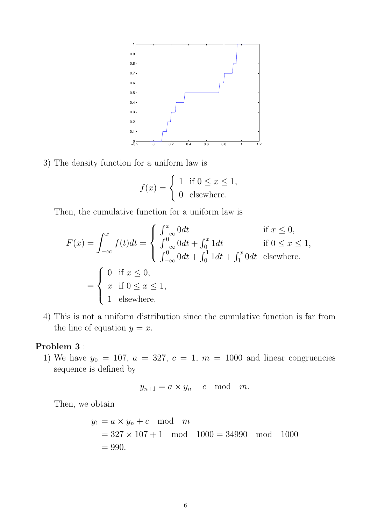

3) The density function for a uniform law is

$$
f(x) = \begin{cases} 1 & \text{if } 0 \le x \le 1, \\ 0 & \text{elsewhere.} \end{cases}
$$

Then, the cumulative function for a uniform law is

$$
F(x) = \int_{-\infty}^{x} f(t)dt = \begin{cases} \int_{-\infty}^{x} 0dt & \text{if } x \le 0, \\ \int_{-\infty}^{0} 0dt + \int_{0}^{x} 1dt & \text{if } 0 \le x \le 1, \\ \int_{-\infty}^{0} 0dt + \int_{0}^{1} 1dt + \int_{1}^{x} 0dt & \text{elsewhere.} \end{cases}
$$

$$
= \begin{cases} 0 & \text{if } x \le 0, \\ x & \text{if } 0 \le x \le 1, \\ 1 & \text{elsewhere.} \end{cases}
$$

4) This is not a uniform distribution since the cumulative function is far from the line of equation  $y = x$ .

## Problem 3 :

1) We have  $y_0 = 107$ ,  $a = 327$ ,  $c = 1$ ,  $m = 1000$  and linear congruencies sequence is defined by

$$
y_{n+1} = a \times y_n + c \mod m.
$$

Then, we obtain

$$
y_1 = a \times y_n + c \mod m
$$
  
= 327 × 107 + 1 mod 1000 = 34990 mod 1000  
= 990.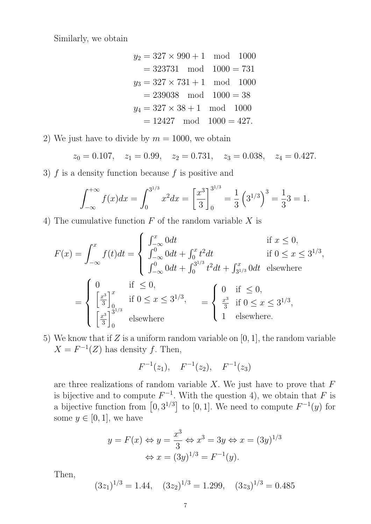Similarly, we obtain

$$
y_2 = 327 \times 990 + 1 \mod 1000
$$
  
= 323731 mod 1000 = 731  

$$
y_3 = 327 \times 731 + 1 \mod 1000
$$
  
= 239038 mod 1000 = 38  

$$
y_4 = 327 \times 38 + 1 \mod 1000
$$
  
= 12427 mod 1000 = 427.

2) We just have to divide by  $m = 1000$ , we obtain

$$
z_0 = 0.107
$$
,  $z_1 = 0.99$ ,  $z_2 = 0.731$ ,  $z_3 = 0.038$ ,  $z_4 = 0.427$ .

3)  $f$  is a density function because  $f$  is positive and

$$
\int_{-\infty}^{+\infty} f(x)dx = \int_{0}^{3^{1/3}} x^2 dx = \left[\frac{x^3}{3}\right]_{0}^{3^{1/3}} = \frac{1}{3} \left(3^{1/3}\right)^3 = \frac{1}{3}3 = 1.
$$

4) The cumulative function  $F$  of the random variable  $X$  is

$$
F(x) = \int_{-\infty}^{x} f(t)dt = \begin{cases} \int_{-\infty}^{x} 0dt & \text{if } x \le 0, \\ \int_{-\infty}^{0} 0dt + \int_{0}^{x} t^2dt & \text{if } 0 \le x \le 3^{1/3}, \\ \int_{-\infty}^{0} 0dt + \int_{0}^{3^{1/3}} t^2dt + \int_{3^{1/3}}^{x} 0dt & \text{elsewhere} \end{cases}
$$

$$
= \begin{cases} 0 & \text{if } \le 0, \\ \left[\frac{x^3}{3}\right]_{0}^{x} & \text{if } 0 \le x \le 3^{1/3}, \\ \left[\frac{x^3}{3}\right]_{0}^{3^{1/3}} & \text{elsewhere} \end{cases} = \begin{cases} 0 & \text{if } \le 0, \\ \frac{x^3}{3} & \text{if } 0 \le x \le 3^{1/3}, \\ 1 & \text{elsewhere.} \end{cases}
$$

5) We know that if Z is a uniform random variable on  $[0, 1]$ , the random variable  $X = F^{-1}(Z)$  has density f. Then,

$$
F^{-1}(z_1), \quad F^{-1}(z_2), \quad F^{-1}(z_3)
$$

are three realizations of random variable  $X$ . We just have to prove that  $F$ is bijective and to compute  $F^{-1}$ . With the question 4), we obtain that F is a bijective function from  $[0, 3^{1/3}]$  to  $[0, 1]$ . We need to compute  $F^{-1}(y)$  for some  $y \in [0, 1]$ , we have

$$
y = F(x) \Leftrightarrow y = \frac{x^3}{3} \Leftrightarrow x^3 = 3y \Leftrightarrow x = (3y)^{1/3}
$$

$$
\Leftrightarrow x = (3y)^{1/3} = F^{-1}(y).
$$

Then,

$$
(3z_1)^{1/3} = 1.44
$$
,  $(3z_2)^{1/3} = 1.299$ ,  $(3z_3)^{1/3} = 0.485$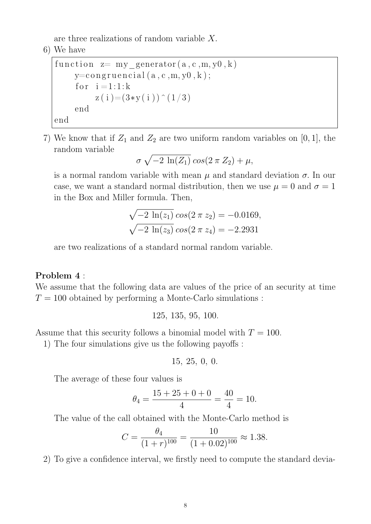are three realizations of random variable X.

6) We have

```
function z= my generator (a, c, m, y0, k)y=constant (a, c, m, y0, k);
    for i = 1:1:kz(i) = (3*y(i))^2(1/3)end
end
```
7) We know that if  $Z_1$  and  $Z_2$  are two uniform random variables on [0, 1], the random variable

$$
\sigma\,\sqrt{-2\,\ln(Z_1)}\cos(2\,\pi\,Z_2)+\mu,
$$

is a normal random variable with mean  $\mu$  and standard deviation  $\sigma$ . In our case, we want a standard normal distribution, then we use  $\mu = 0$  and  $\sigma = 1$ in the Box and Miller formula. Then,

$$
\sqrt{-2 \ln(z_1)} \cos(2 \pi z_2) = -0.0169,
$$
  

$$
\sqrt{-2 \ln(z_3)} \cos(2 \pi z_4) = -2.2931
$$

are two realizations of a standard normal random variable.

# Problem 4 :

We assume that the following data are values of the price of an security at time  $T = 100$  obtained by performing a Monte-Carlo simulations :

125, 135, 95, 100.

Assume that this security follows a binomial model with  $T = 100$ .

1) The four simulations give us the following payoffs :

$$
15,\ 25,\ 0,\ 0.
$$

The average of these four values is

$$
\theta_4 = \frac{15 + 25 + 0 + 0}{4} = \frac{40}{4} = 10.
$$

The value of the call obtained with the Monte-Carlo method is

$$
C = \frac{\theta_4}{(1+r)^{100}} = \frac{10}{(1+0.02)^{100}} \approx 1.38.
$$

2) To give a confidence interval, we firstly need to compute the standard devia-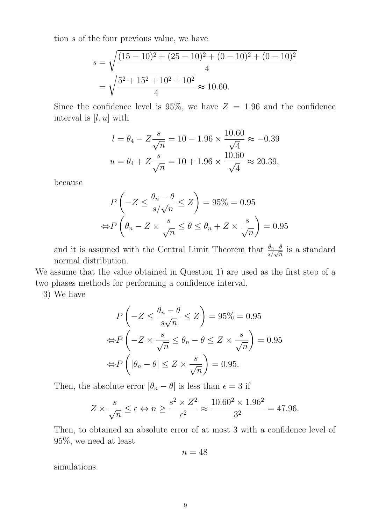tion s of the four previous value, we have

$$
s = \sqrt{\frac{(15 - 10)^2 + (25 - 10)^2 + (0 - 10)^2 + (0 - 10)^2}{4}}
$$
  
=  $\sqrt{\frac{5^2 + 15^2 + 10^2 + 10^2}{4}}$   $\approx$  10.60.

Since the confidence level is 95%, we have  $Z = 1.96$  and the confidence interval is  $[l, u]$  with

$$
l = \theta_4 - Z \frac{s}{\sqrt{n}} = 10 - 1.96 \times \frac{10.60}{\sqrt{4}} \approx -0.39
$$
  

$$
u = \theta_4 + Z \frac{s}{\sqrt{n}} = 10 + 1.96 \times \frac{10.60}{\sqrt{4}} \approx 20.39,
$$

because

$$
P\left(-Z \le \frac{\theta_n - \theta}{s/\sqrt{n}} \le Z\right) = 95\% = 0.95
$$

$$
\Leftrightarrow P\left(\theta_n - Z \times \frac{s}{\sqrt{n}} \le \theta \le \theta_n + Z \times \frac{s}{\sqrt{n}}\right) = 0.95
$$

and it is assumed with the Central Limit Theorem that  $\frac{\theta_n-\theta}{s/\sqrt{n}}$  is a standard normal distribution.

We assume that the value obtained in Question 1) are used as the first step of a two phases methods for performing a confidence interval.

3) We have

$$
P\left(-Z \le \frac{\theta_n - \theta}{s\sqrt{n}} \le Z\right) = 95\% = 0.95
$$
  
\n
$$
\Leftrightarrow P\left(-Z \times \frac{s}{\sqrt{n}} \le \theta_n - \theta \le Z \times \frac{s}{\sqrt{n}}\right) = 0.95
$$
  
\n
$$
\Leftrightarrow P\left(|\theta_n - \theta| \le Z \times \frac{s}{\sqrt{n}}\right) = 0.95.
$$

Then, the absolute error  $|\theta_n - \theta|$  is less than  $\epsilon = 3$  if

$$
Z \times \frac{s}{\sqrt{n}} \le \epsilon \Leftrightarrow n \ge \frac{s^2 \times Z^2}{\epsilon^2} \approx \frac{10.60^2 \times 1.96^2}{3^2} = 47.96.
$$

Then, to obtained an absolute error of at most 3 with a confidence level of 95%, we need at least

$$
n=48
$$

simulations.